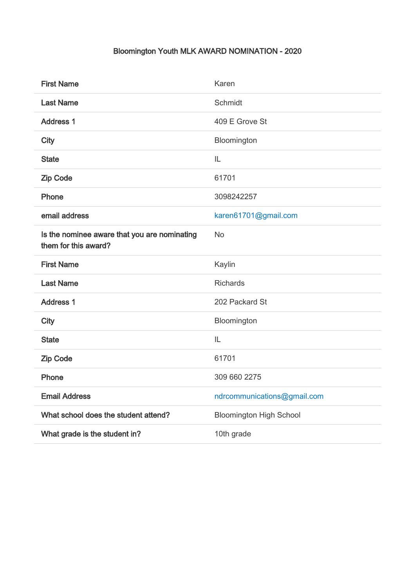## Bloomington Youth MLK AWARD NOMINATION - 2020

| <b>First Name</b>                                                    | Karen                          |
|----------------------------------------------------------------------|--------------------------------|
| <b>Last Name</b>                                                     | Schmidt                        |
| <b>Address 1</b>                                                     | 409 E Grove St                 |
| <b>City</b>                                                          | Bloomington                    |
| <b>State</b>                                                         | IL                             |
| <b>Zip Code</b>                                                      | 61701                          |
| Phone                                                                | 3098242257                     |
| email address                                                        | karen61701@gmail.com           |
| Is the nominee aware that you are nominating<br>them for this award? | <b>No</b>                      |
| <b>First Name</b>                                                    | Kaylin                         |
| <b>Last Name</b>                                                     | <b>Richards</b>                |
| <b>Address 1</b>                                                     | 202 Packard St                 |
| <b>City</b>                                                          | Bloomington                    |
| <b>State</b>                                                         | IL                             |
| <b>Zip Code</b>                                                      | 61701                          |
| Phone                                                                | 309 660 2275                   |
| <b>Email Address</b>                                                 | ndrcommunications@gmail.com    |
| What school does the student attend?                                 | <b>Bloomington High School</b> |
| What grade is the student in?                                        | 10th grade                     |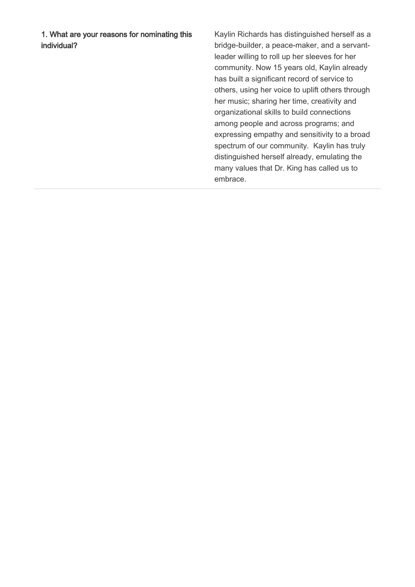1. What are your reasons for nominating this individual?

Kaylin Richards has distinguished herself as a bridge-builder, a peace-maker, and a servantleader willing to roll up her sleeves for her community. Now 15 years old, Kaylin already has built a significant record of service to others, using her voice to uplift others through her music; sharing her time, creativity and organizational skills to build connections among people and across programs; and expressing empathy and sensitivity to a broad spectrum of our community. Kaylin has truly distinguished herself already, emulating the many values that Dr. King has called us to embrace.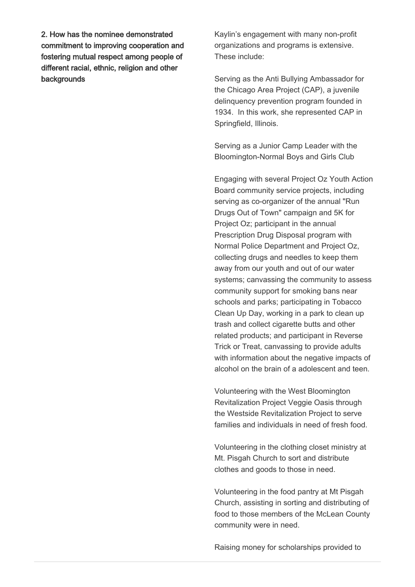2. How has the nominee demonstrated commitment to improving cooperation and fostering mutual respect among people of different racial, ethnic, religion and other backgrounds

Kaylin's engagement with many non-profit organizations and programs is extensive. These include:

Serving as the Anti Bullying Ambassador for the Chicago Area Project (CAP), a juvenile delinquency prevention program founded in 1934. In this work, she represented CAP in Springfield, Illinois.

Serving as a Junior Camp Leader with the Bloomington-Normal Boys and Girls Club

Engaging with several Project Oz Youth Action Board community service projects, including serving as co-organizer of the annual "Run Drugs Out of Town" campaign and 5K for Project Oz; participant in the annual Prescription Drug Disposal program with Normal Police Department and Project Oz, collecting drugs and needles to keep them away from our youth and out of our water systems; canvassing the community to assess community support for smoking bans near schools and parks; participating in Tobacco Clean Up Day, working in a park to clean up trash and collect cigarette butts and other related products; and participant in Reverse Trick or Treat, canvassing to provide adults with information about the negative impacts of alcohol on the brain of a adolescent and teen.

Volunteering with the West Bloomington Revitalization Project Veggie Oasis through the Westside Revitalization Project to serve families and individuals in need of fresh food.

Volunteering in the clothing closet ministry at Mt. Pisgah Church to sort and distribute clothes and goods to those in need.

Volunteering in the food pantry at Mt Pisgah Church, assisting in sorting and distributing of food to those members of the McLean County community were in need.

Raising money for scholarships provided to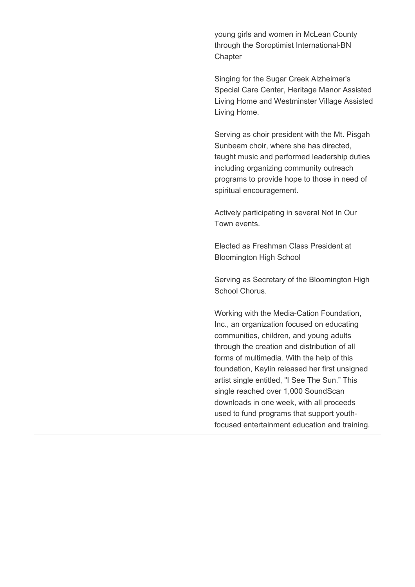young girls and women in McLean County through the Soroptimist International-BN **Chapter** 

Singing for the Sugar Creek Alzheimer's Special Care Center, Heritage Manor Assisted Living Home and Westminster Village Assisted Living Home.

Serving as choir president with the Mt. Pisgah Sunbeam choir, where she has directed, taught music and performed leadership duties including organizing community outreach programs to provide hope to those in need of spiritual encouragement.

Actively participating in several Not In Our Town events.

Elected as Freshman Class President at Bloomington High School

Serving as Secretary of the Bloomington High School Chorus.

Working with the Media-Cation Foundation, Inc., an organization focused on educating communities, children, and young adults through the creation and distribution of all forms of multimedia. With the help of this foundation, Kaylin released her first unsigned artist single entitled, "I See The Sun." This single reached over 1,000 SoundScan downloads in one week, with all proceeds used to fund programs that support youthfocused entertainment education and training.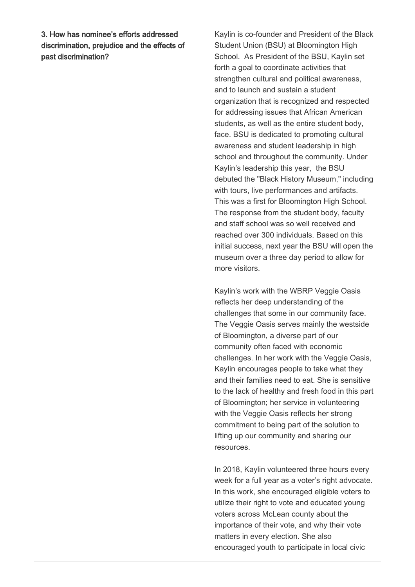3. How has nominee's efforts addressed discrimination, prejudice and the effects of past discrimination?

Kaylin is co-founder and President of the Black Student Union (BSU) at Bloomington High School. As President of the BSU, Kaylin set forth a goal to coordinate activities that strengthen cultural and political awareness, and to launch and sustain a student organization that is recognized and respected for addressing issues that African American students, as well as the entire student body, face. BSU is dedicated to promoting cultural awareness and student leadership in high school and throughout the community. Under Kaylin's leadership this year, the BSU debuted the "Black History Museum," including with tours, live performances and artifacts. This was a first for Bloomington High School. The response from the student body, faculty and staff school was so well received and reached over 300 individuals. Based on this initial success, next year the BSU will open the museum over a three day period to allow for more visitors.

Kaylin's work with the WBRP Veggie Oasis reflects her deep understanding of the challenges that some in our community face. The Veggie Oasis serves mainly the westside of Bloomington, a diverse part of our community often faced with economic challenges. In her work with the Veggie Oasis, Kaylin encourages people to take what they and their families need to eat. She is sensitive to the lack of healthy and fresh food in this part of Bloomington; her service in volunteering with the Veggie Oasis reflects her strong commitment to being part of the solution to lifting up our community and sharing our resources.

In 2018, Kaylin volunteered three hours every week for a full year as a voter's right advocate. In this work, she encouraged eligible voters to utilize their right to vote and educated young voters across McLean county about the importance of their vote, and why their vote matters in every election. She also encouraged youth to participate in local civic